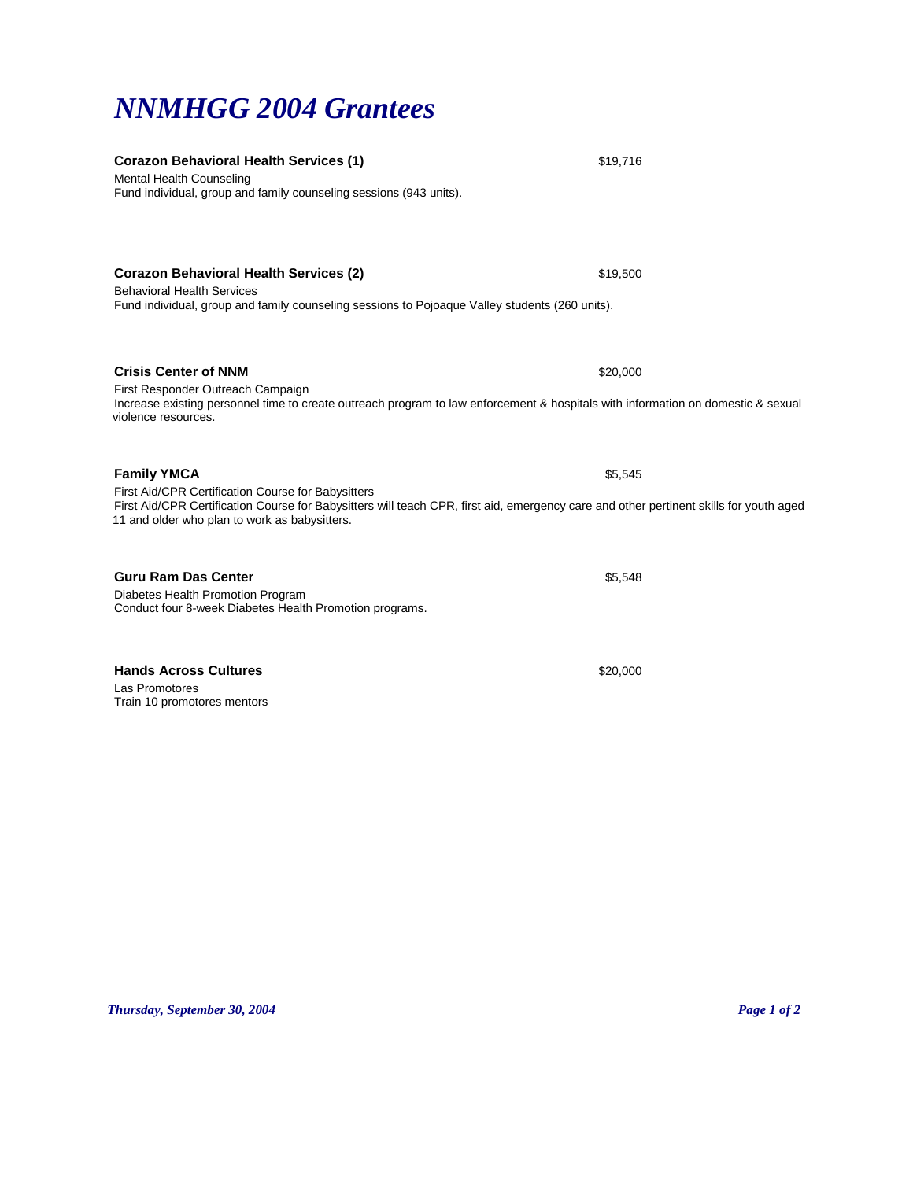## *Thursday, September 30, 2004 Page 1 of 2*

**Corazon Behavioral Health Services (2)** \$19,500 Behavioral Health Services Fund individual, group and family counseling sessions to Pojoaque Valley students (260 units).

**Crisis Center of NNM**  $$20,000$ First Responder Outreach Campaign

Mental Health Counseling

Increase existing personnel time to create outreach program to law enforcement & hospitals with information on domestic & sexual violence resources.

# **Family YMCA**  $$5,545$

First Aid/CPR Certification Course for Babysitters First Aid/CPR Certification Course for Babysitters will teach CPR, first aid, emergency care and other pertinent skills for youth aged 11 and older who plan to work as babysitters.

### **Guru Ram Das Center by Caucal Control Control Control Control Control Control Control Control Control Control Control Control Control Control Control Control Control Control Control Control Control Control Control Contr**

Diabetes Health Promotion Program Conduct four 8-week Diabetes Health Promotion programs.

#### **Hands Across Cultures <b>\$20,000 \$20,000 \$20,000 \$20,000 \$20,000 \$20,000 \$20,000**

Las Promotores Train 10 promotores mentors

*NNMHGG 2004 Grantees* 

Fund individual, group and family counseling sessions (943 units).

**Corazon Behavioral Health Services (1)** \$19,716